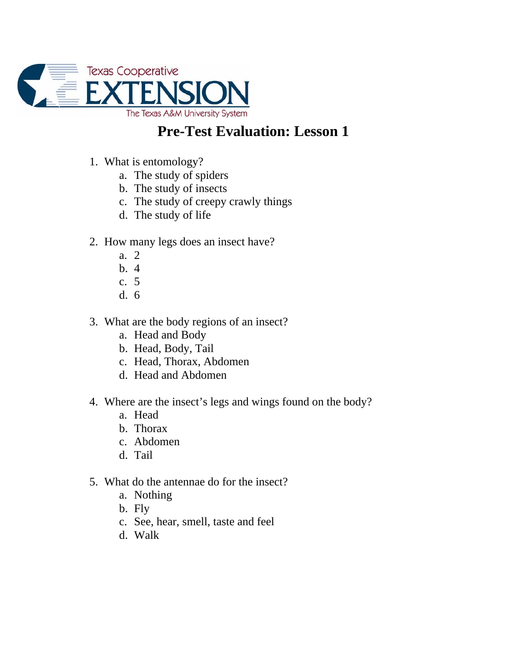

## **Pre-Test Evaluation: Lesson 1**

- 1. What is entomology?
	- a. The study of spiders
	- b. The study of insects
	- c. The study of creepy crawly things
	- d. The study of life
- 2. How many legs does an insect have?
	- a. 2
	- b. 4
	- c. 5
	- d. 6
- 3. What are the body regions of an insect?
	- a. Head and Body
	- b. Head, Body, Tail
	- c. Head, Thorax, Abdomen
	- d. Head and Abdomen
- 4. Where are the insect's legs and wings found on the body?
	- a. Head
	- b. Thorax
	- c. Abdomen
	- d. Tail
- 5. What do the antennae do for the insect?
	- a. Nothing
	- b. Fly
	- c. See, hear, smell, taste and feel
	- d. Walk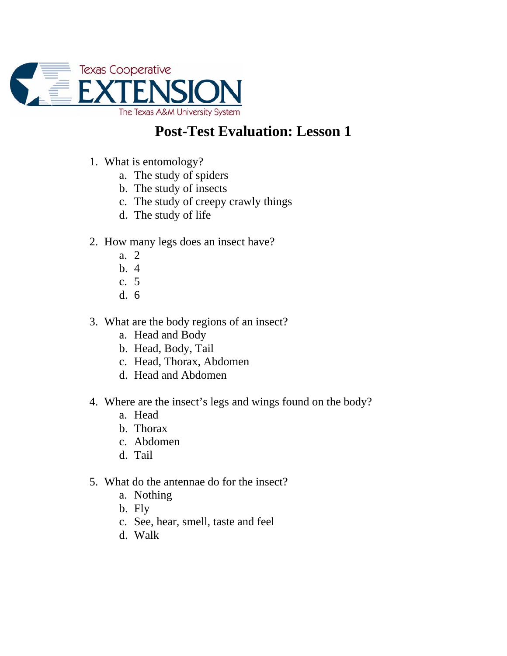

## **Post-Test Evaluation: Lesson 1**

- 1. What is entomology?
	- a. The study of spiders
	- b. The study of insects
	- c. The study of creepy crawly things
	- d. The study of life
- 2. How many legs does an insect have?
	- a. 2
	- b. 4
	- c. 5
	- d. 6
- 3. What are the body regions of an insect?
	- a. Head and Body
	- b. Head, Body, Tail
	- c. Head, Thorax, Abdomen
	- d. Head and Abdomen
- 4. Where are the insect's legs and wings found on the body?
	- a. Head
	- b. Thorax
	- c. Abdomen
	- d. Tail
- 5. What do the antennae do for the insect?
	- a. Nothing
	- b. Fly
	- c. See, hear, smell, taste and feel
	- d. Walk